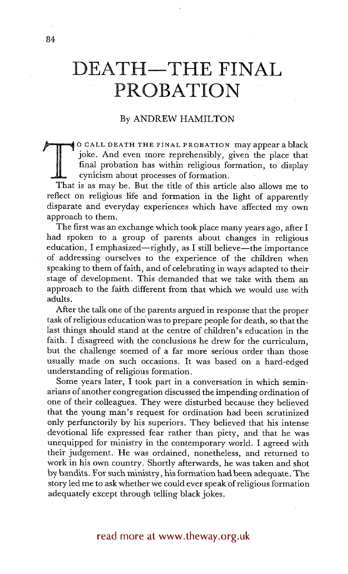# DEATH-THE FINAL **PROBATION**

## By ANDREW HAMILTON

That is as may be. But the title of this article also allows me to<br>
That is as may be. But the title of this article also allows me to O CALL DEATH THE FINAL PROBATION may appear ablack joke. And even more reprehensibly, given the place that final probation has within religious formation, to display cynicism about processes of formation.

reflect on religious life and formation in the light of apparently disparate and everyday experiences which have affected my own approach to them.

The first was an exchange which took place many years ago, after I had spoken to a group of parents about changes in religious education, I emphasized—rightly, as I still believe—the importance of addressing ourselves to the experience of the children when speaking to them of faith, and of celebrating in ways adapted to their stage of development. This demanded that we take with them an approach to the faith different from that which we would use with adults.

After the talk one of the parents argued in response that the proper task of religious education'was to prepare people for death, so that the last things should stand at the centre of children's education in the faith. I disagreed with the conclusions he drew for the curriculum, but the challenge seemed of a far more serious order than those usually made on such occasions. It was based on a hard-edged understanding of religious formation.

Some years later, I took part in a conversation in which seminarians of another congregation discussed the impending ordination of one of their colleagues. They were disturbed because they believed that the young man's request for ordination had been scrutinized only perfunctorily by his superiors. They believed that his intense devotional life expressed fear rather than piety, and that he was unequipped for ministry in the contemporary world. I agreed with their judgement. He was ordained, nonetheless, and returned to work in his own country. Shortly afterwards, he was taken and shot by bandits. For such ministry, his formation had been adequate. The story led me to ask whether we could ever speak of religious formation adequately except through telling black jokes.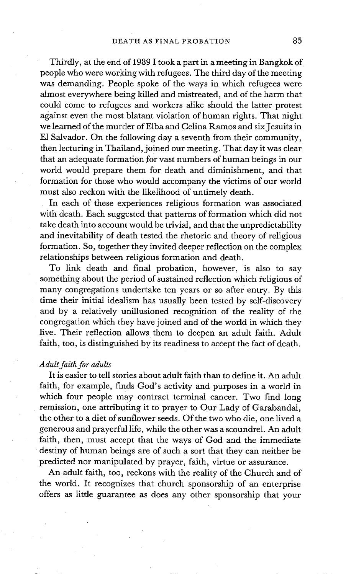Thirdly, at the end of 1989 1 took a part in a meeting in Bangkok of people who were working with refugees. The third day of the meeting was demanding. People spoke of the ways in which refugees were almost everywhere being killed and mistreated, and of the harm that could come to refugees and workers alike should the latter protest against even the most blatant violation of human rights. That night we learned of the murder of Elba and Celina Ramos and six Jesuits in E1 Salvador. On the following day a seventh from their community, then lecturing in Thailand, joined our meeting. That day it was clear that an adequate formation for vast numbers of human beings in our world would prepare them for death and diminishment, and that formation for those who would accompany the victims of our world must also reckon with the likelihood of untimely death.

In each of these experiences religious formation was associated with death. Each suggested that patterns of formation which did not take death into account would be trivial, and that the unpredictability and inevitability of death tested the rhetoric and theory of religious formation. So, together they invited deeper reflection on the complex relationships between religious formation and death.

To link death and final probation, however, is also to say something about the period of sustained reflection which religious of many congregations undertake ten years or so after entry. By this time their initial idealism has usually been tested by self-discovery and by a relatively unillusioned recognition of the reality of the congregation which they have joined and of the world in which they live. Their reflection allows them to deepen an adult faith. Adult faith, too, is distinguished by its readiness to accept the fact of death.

#### *Adult faith for adults*

It is easier to tell stories about adult faith than to define it. An adult faith, for example, finds God's activity and purposes in a world in which four people may contract terminal cancer. Two find long remission, one attribuiing it to prayer to Our Lady of Garabandal, the other to a diet of sunflower seeds. Of the two who die, one lived a generous and prayerful life, while the other was a scoundrel. An adult faith, then, must accept that the ways of God and the immediate destiny of human beings are of such a sort that they can neither be predicted nor manipulated by prayer, faith, virtue or assurance.

An adult faith, too, reckons with the reality of the Church and of the world. It recognizes that church sponsorship of an enterprise offers as little guarantee as does any other sponsorship that your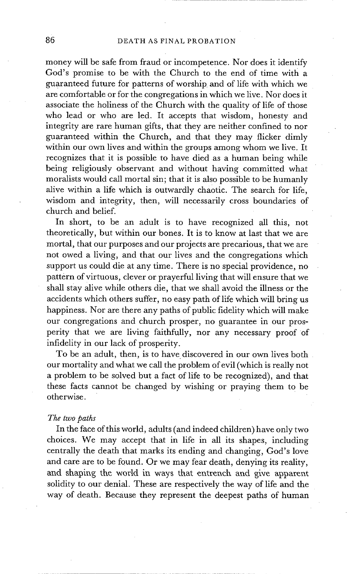money will be safe from fraud or incompetence. Nor does it identify God's promise to be with the Church to the end of time with a guaranteed future for patterns of worship and of life with which we are comfortable or for the congregations in which we live. Nor does it associate the holiness of the Church with the quality of life of those who lead or who are led. It accepts that wisdom, honesty and integrity are rare human gifts, that they are neither confined to nor guaranteed within the Church, and that they may flicker dimly within our own lives and within the groups among whom we live. It recognizes that it is possible to have died as a human being while being religiously observant and without having committed what moralists would call mortal sin; that it is also possible to be humanly alive within a life which is outwardly chaotic. The search for life, wisdom and integrity, then, will necessarily cross boundaries of church and belief.

In short, to be an adult is to have recognized all this, not theoretically, but within our bones. It is to know at last that we are mortal, that our purposes and our projects are precarious, that we are not owed a living, and that our lives and the congregations which support us could die at any time. There is no special providence, no pattern of virtuous, clever or prayerful living that will ensure that we shall stay alive while others die, that we shall avoid the illness or the accidents which others suffer, no easy path of life which will bring us happiness. Nor are there any paths of public fidelity which will make our congregations and church prosper, no guarantee in our prosperity that we are living faithfully, nor any necessary proof of infidelity in our lack of prosperity.

To be an adult, then, is to have discovered in our own lives both our mortality and what we call the problem of evil (which is really not a problem to be solved but a fact of life to be recognized), and that these facts cannot be changed by wishing or praying them to be otherwise.

#### *The two paths*

In the face of this world, adults (and indeed children) have only two choices. We may accept that in life in all its shapes, including centrally the death that marks its ending and changing, God's love and care are to be found. Or we may fear death, denying its reality, and shaping the world in ways that entrench and give apparent solidity to our denial. These are respectively the way of life and the way of death. Because they represent the deepest paths of human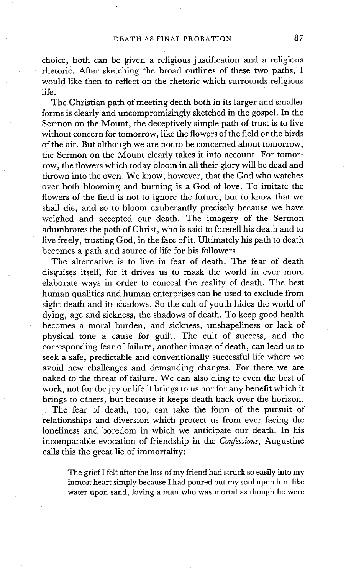choice, both can be given a religious justification and a religious rhetoric. After sketching the broad outlines of these two paths, I would like then to reflect on the rhetoric which surrounds religious life.

The Christian path of meeting death both in its larger and smaller forms is clearly and uncompromisingly sketched in the gospel. In the Sermon on the Mount, the deceptively simple path of trust is to live without concern for tomorrow, like the flowers of the field or the birds of the air. But although we are not to be concerned about tomorrow, the Sermon on the Mount clearly takes it into account. For tomorrow, the flowers which today bloom in all their glory will be dead and thrown into the oven. We know, however, that the God who watches over both blooming and burning is a God of love. To imitate the flowers of the field is not to ignore the future, but to know that we shall die, and so to bloom exuberantly precisely because we have weighed and accepted our death. The imagery of the Sermon adumbrates the path of Christ, who is said to foretell his death and to live freely, trusting God, in the face of it. Ultimately his path to death becomes a path and source of life for his followers.

The alternative is to live in fear of death. The fear of death disguises itself, for it drives us to mask the world in ever more elaborate ways in order to conceal the reality of death. The best human qualities and human enterprises can be used to exclude from sight death and its shadows. So the cult of youth hides the world of dying, age and sickness, the shadows of death. To keep good health becomes a moral burden, and sickness, unshapeliness or lack of physical tone a cause for guilt. The cult of success, and the corresponding fear of failure, another image of death, can lead us to seek a safe, predictable and conventionally successful life where we avoid new challenges and demanding changes. For there we are naked to the threat of failure. We can also cling to even the best of work, not for the joy or life it brings to us nor for any benefit which it brings to others, but because it keeps death back over the horizon.

The fear of death, too, can take the form of the pursuit of relationships and diversion which protect us from ever facing the loneliness and boredom in which we anticipate our death. In his incomparable evocation of friendship in the *Confessions,* Augustine calls this the great lie of immortality:

The grief I felt after the loss of my friend had struck so easily into my inmost heart simply because I had poured out my soul upon him like water upon sand, loving a man who was mortal as though he were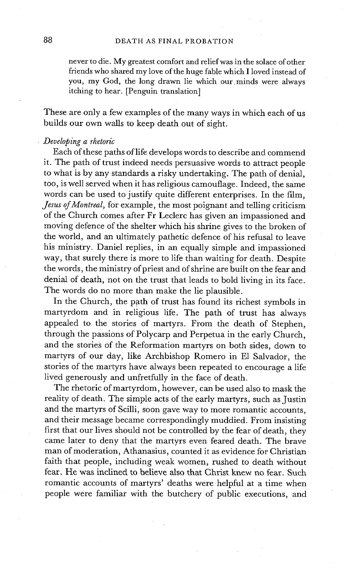never to die. My greatest comfort and relief was in the solace of other friends who shared my love of the huge fable which I loved instead of you, my God, the long drawn lie which our.minds were always itching to hear. [Penguin translation]

These are only a few examples of the many ways in which each of us builds our own walls to keep death out of sight.

#### *Developing a rhetoric*

Each of these paths of life develops words to describe and commend it. The path of trust indeed needs persuasive words to attract people to what is by any standards a risky undertaking. The path of denial, too, is well served when it has religious camouflage. Indeed, the same words can be used to justify quite different enterprises. In the film, *Jesus of Montreal,* for example, the most poignant and telling criticism of the Church comes after Fr Leclerc has given an impassioned and moving defence of the shelter which his shrine gives to the broken of the world, and an ultimately pathetic defence of his refusal to leave his ministry. Daniel replies, in an equally simple and impassioned way, that surely there is more to life than waiting for death. Despite the words, the ministry of priest and of shrine are built on the fear and denial of death, not on the trust that leads to bold living in its face. The words do no more than make the lie plausible.

In the Church, the path of trust has found its richest symbols in martyrdom and in religious life. The path of trust has always appealed to the stories of martyrs. From the death of Stephen, through the passions of Polycarp and Perpetua in the early Church, and the stories of the Reformation martyrs on both sides, down to martyrs of our day, like Archbishop Romero in E1 Salvador, the stories of the martyrs have always been repeated to encourage a life lived generously and unfretfully in the face of death.

The rhetoric of martyrdom, however, can be used also to mask the reality of death. The simple acts of the early martyrs, such as Justin and the martyrs of Scilli, soon gave way to more romantic accounts, and their message became correspondingly muddied. From insisting first that our lives should not be controlled by the fear of death, they came later to deny that the martyrs even feared death. The brave man of moderation, Athanasius, counted it as evidence for Christian faith that people, including weak women, rushed to death without fear. He was inclined to believe also that Christ knew no fear. Such romantic accounts of martyrs' deaths were helpful at a time when people were familiar with the butchery of public executions, and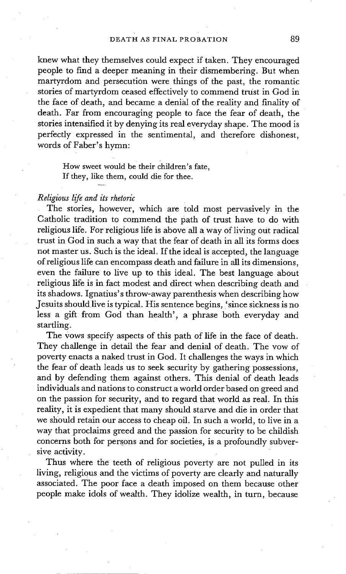knew what they themselves could expect if taken. They encouraged people to find a deeper meaning in their dismembering. But when martyrdom and persecution were things of the past, the romantic stories of martyrdom ceased effectively to commend trust in God in the face of death, and became a denial of the reality and finality of death. Far from encouraging people to face the fear of death, the stories intensified it by denying its real everyday shape. The mood is perfectly expressed in the sentimental, and therefore dishonest, words of Faber's hymn:

How sweet would be their children's fate, If they, like them, could die for thee.

#### *Religious life and its rhetoric*

The stories, however, which are told most pervasively in the Catholic tradition to commend the path of trust have to do with religious life. For religious life is above all a way of living out radical trust in God in such a way that the fear of death in all its forms does not master us. Such is the ideal. If the ideal is accepted, the language of religious life can encompass death and failure in all its dimensions, even the failure to live up to this ideal. The best language about religious life is in fact modest and direct when describing death and its shadows. Ignatius's throw-away parenthesis when describing how Jesuits should live is typical. His sentence begins, 'since sickness is no less a gift from God than health', a phrase both everyday and startling.

The vows specify aspects of this path of life in the face of death. They challenge in detail the fear and denial of death. The vow of poverty enacts a naked trust in God. It challenges the ways in which the fear of death leads us to seek security by gathering possessions, and by defending them against others. This denial of death leads individuals and nations to construct a world order based on greed and on the passion for security, and to regard that world as real. In this reality, it is expedient that many should starve and die in order that we should retain our access to cheap oil. In such a world, to live in a way that proclaims greed and the passion for security to be childish concerns both for persons and for societies, is a profoundly subversive activity.

Thus where the teeth of religious poverty are not pulled in its living, religious and the victims of poverty are clearly and naturally associated. The poor face a death imposed on them because other people make idols of wealth. They idolize wealth, in turn, because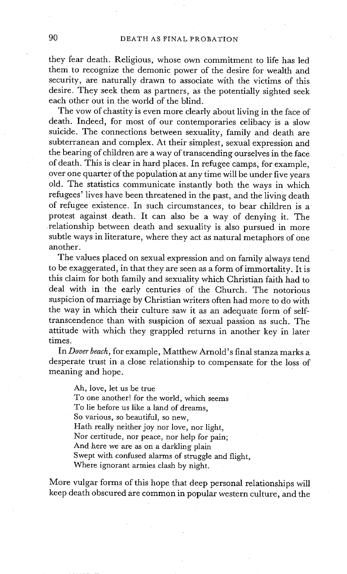they fear death. Religious, whose own commitment to life has led them to recognize the demonic power of the desire for wealth and security, are naturally drawn to associate with the victims of this desire. They seek them as partners, as the potentially sighted seek each other out in the world of the blind.

The vow of chastity is even more clearly about living in the face of death. Indeed, for most of our contemporaries celibacy is a slow suicide. The connections between sexuality, family and death are subterranean and complex. At their simplest, sexual expression and the bearing of children are a way of transcending ourselves in the face of death. This is clear in hard places. In refugee camps, for example, over one quarter of the population at any time will be under five years old. The statistics communicate instantly both the ways in which refugees' lives have been threatened in the past, and the living death of refugee existence. In such circumstances, to bear children is a protest against death. It can also be a way of denying it. The relationship between death and sexuality is also pursued in more subtle ways in literature, where they act as natural metaphors of one another.

The values placed on sexual expression and on family always tend to be exaggerated, in that they are seen as a form of immortality. It is this claim for both family and sexuality which Christian faith had to deal with in the early centuries of the Church. The notorious suspicion of marriage by Christian writers often had more to do with the way in which their culture saw it as an adequate form of selftranscendence than with suspicion of sexual passion as such. The attitude with which they grappled returns in another key in later times.

In *Dover beach,* for example, Matthew Arnold's final stanza marks a desperate trust in a close relationship to compensate for the loss of meaning and hope.

Ah, love, let us be true To one another! for the world, which seems To lie before us like a land of dreams, So various, so beautiful, so new, Hath really neither joy nor love, nor light, Nor certitude, nor peace, nor help for pain; And here we are as on a darkling plain Swept with confused alarms of struggle and flight, Where ignorant armies clash by night.

More vulgar forms of this hope that deep personal relationships will keep death obscured are common in popular western culture, and the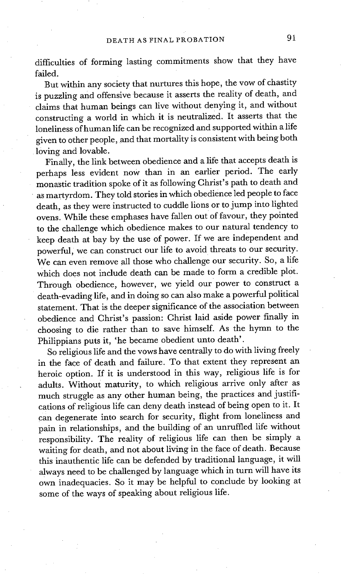difficulties of forming lasting commitments show that they have failed.

But within any society that nurtures this hope, the vow of chastity is puzzling and offensive because it asserts the reality of death, and claims that human beings can live without denying it, and without constructing a world in which it is neutralized. It asserts that the loneliness of human life can be recognized and supported within a life given to other people, and that mortality is consistent with being both loving and lovable.

Finally, the link between obedience and a life that accepts death is perhaps less evident now than in an earlier period. The early monastic tradition spoke of it as following Christ's path to death and as martyrdom. They told stories in which obedience led people to face death, as they were instructed to cuddle lions or to jump into lighted ovens. While these emphases have fallen out of favour, they pointed to the challenge which obedience makes to our natural tendency to keep death at bay by the use of power. If we are independent and powerful, we can construct our life to avoid threats to our security. We can even remove all those who challenge our security. So, a life which does not include death can be made to form a credible plot. Through obedience, however, we yield our power to construct a death-evading life, and in doing so can also make a powerful political statement. That is the deeper significance of the association between obedience and Christ's passion: Christ laid aside power finally in choosing to die rather than to save himself. As the hymn to the Philippians puts it, 'he became obedient unto death'.

So religious life and the vows have centrally to do with living freely in the face of death and failure. To that extent they represent an heroic option. If it is understood in this way, religious life is for adults. Without maturity, to which religious arrive only after as much struggle as any other human being, the practices and justifications of religious life can deny death instead of being open to it. It can degenerate into search for security, flight from loneliness and pain in relationships, and the building of an unruffled life without responsibility. The reality of religious life can then be simply a waiting for death, and not about living in the face of death. Because this inauthentic life can be defended by traditional language, it will always need to be challenged by language which in turn will have its own inadequacies. So it may be helpful to conclude by looking at some of the ways of speaking about religious life.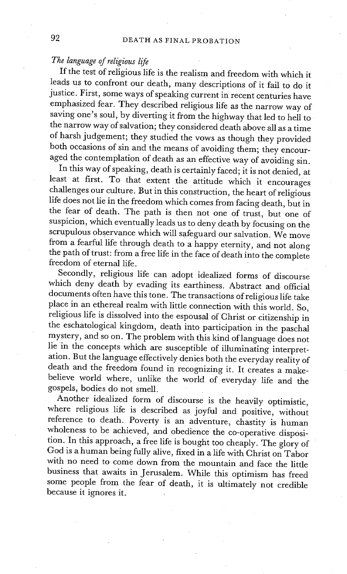# *The language of religious life*

If the test of religious life is the realism and freedom with which it leads us to confront our death, many descriptions of it fail to do it justice. First, some ways of speaking current in recent centuries have emphasized fear. They described religious life as the narrow way of saving one's soul, by diverting it from the highway that led to hell to the narrow way of salvation; they considered death above all as a time of harsh judgement; they studied the vows as though they provided both occasions of sin and the means of avoiding them; they encouraged the contemplation of death as an effective way of avoiding sin.

In this way of speaking, death is certainly faced; it is not denied, at least at first. To that extent the attitude which it encourages challenges our culture. But in this construction, the heart of religious life does not lie in the freedom which comes from facing death, but in the fear of death. The path is then not one of trust, but one of suspicion, which eventually leads us to deny death by focusing on the scrupulous observance which will safeguard our salvation. We move from a fearful life through death to a happy eternity, and not along the path of trust: from a free life in the face of death into the complete freedom of eternal life.

Secondly, religious life can adopt idealized forms of discourse which deny death by evading its earthiness. Abstract and official documents often have this tone. The transactions of religious life take place in an ethereal realm with little connection with this world. So, religious life is dissolved into the espousal of Christ or citizenship in the eschatological kingdom, death into participation in the paschal mystery, and so on. The problem with this kind of language does not lie in the concepts which are susceptible of illuminating interpretation. But the language effectively denies both the everyday reality of death and the freedom found in recognizing it. It creates a makebelieve world where, unlike the world of everyday life and the gospels, bodies do not smell.

Another idealized form of discourse is the heavily optimistic, where religious life is described as joyful and positive, without reference to death. Poverty is an adventure, chastity is human wholeness to be achieved, and obedience the co-operative disposition. In thisapproach, a free life is bought too cheaply. The glory of God is a human being fully alive, fixed in a life with Christ on Tabor with no need to come down from the mountain and face the little business that awaits in Jerusalem. While this optimism has freed some people from the fear of death, it is ultimately not credible because it ignores it.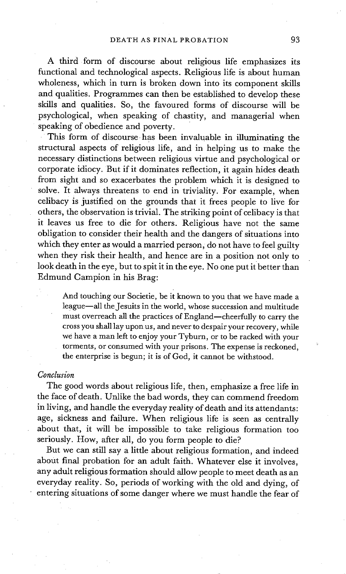A third form of discourse about religious life emphasizes its functional and technological aspects. Religious life is about human wholeness, which in turn is broken down into its component skills and qualities. Programmes can then be established to develop these skills and qualities. So, the favoured forms of discourse will be psychological, when speaking of chastity, and managerial when speaking of obedience and poverty.

This form of discourse has been invaluable in illuminating the structural aspects of religious life, and in helping us to make the necessary distinctions between religious virtue and psychological or corporate idiocy. But if it dominates reflection, it again hides death from sight and so exacerbates the problem which it is designed to solve. It always threatens to end in triviality. For example, when celibacy is justified on the grounds that it frees people to live for others, the observation is trivial. The striking point of celibacy is that it leaves us free to die for others. Religious have not the same obligation to consider their health and the dangers of situations into which they enter as would a married person, do not have to feel guilty when they risk their health, and hence are in a position not only to look death in the eye, but to spit it in the eye. No one put it better than Edmund Campion in his Brag:

And touching our Societie, be it known to you that we have made a league--all the Jesuits in the world, whose succession and multitude must overreach all the practices of England--cheerfully to carry the cross you shall lay upon us, and never to despair your recovery, while we have a man left to enjoy your Tyburn, or to be racked with your torments, or consumed with your prisons. The expense is reckoned, the enterprise is begun; it is of God, it cannot be withstood.

#### *Conclusion*

The good words about religious life, then, emphasize a free life in the face of death. Unlike the bad words, they can commend freedom in living, and handle the everyday reality of death and its attendants: age, sickness and failure. When religious life is seen as centrally about that, it will be impossible to take religious formation too seriously. How, after all, do you form people to die?

But we can still say a little about religious formation, and indeed about final probation for an adult faith. Whatever else it involves, any adult religious formation should allow people to meet death as an everyday reality. So, periods of working with the old and dying, of • entering situations of some danger where we must handle the fear of